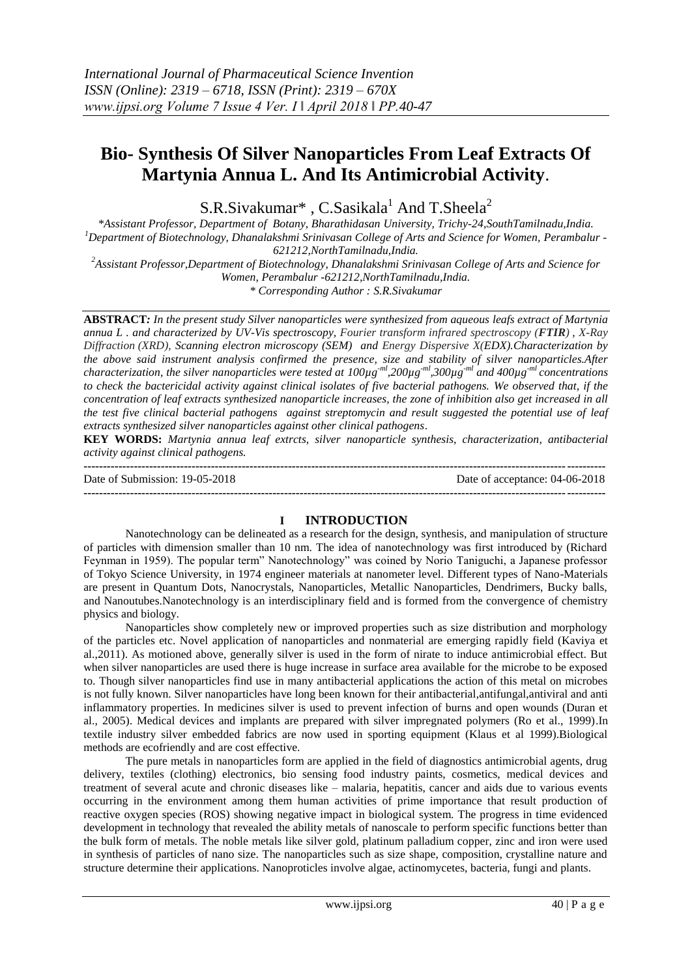# **Bio- Synthesis Of Silver Nanoparticles From Leaf Extracts Of Martynia Annua L. And Its Antimicrobial Activity**.

 $S.R.Sivakumar^*$ ,  $C.Sasikala<sup>1</sup>$  And  $T.Sheela<sup>2</sup>$ 

*\*Assistant Professor, Department of Botany, Bharathidasan University, Trichy-24,SouthTamilnadu,India. <sup>1</sup>Department of Biotechnology, Dhanalakshmi Srinivasan College of Arts and Science for Women, Perambalur - 621212,NorthTamilnadu,India.*

*<sup>2</sup>Assistant Professor,Department of Biotechnology, Dhanalakshmi Srinivasan College of Arts and Science for Women, Perambalur -621212,NorthTamilnadu,India.*

*\* Corresponding Author : S.R.Sivakumar*

**ABSTRACT***: In the present study Silver nanoparticles were synthesized from aqueous leafs extract of Martynia annua L . and characterized by UV-Vis spectroscopy, Fourier transform infrared spectroscopy (FTIR) , X-Ray Diffraction (XRD), Scanning electron microscopy (SEM) and Energy Dispersive X(EDX).Characterization by the above said instrument analysis confirmed the presence, size and stability of silver nanoparticles.After characterization, the silver nanoparticles were tested at 100µg-ml,200µg-ml,300µg-ml and 400µg-ml concentrations to check the bactericidal activity against clinical isolates of five bacterial pathogens. We observed that, if the concentration of leaf extracts synthesized nanoparticle increases, the zone of inhibition also get increased in all the test five clinical bacterial pathogens against streptomycin and result suggested the potential use of leaf extracts synthesized silver nanoparticles against other clinical pathogens*.

**KEY WORDS:** *Martynia annua leaf extrcts, silver nanoparticle synthesis, characterization, antibacterial activity against clinical pathogens.*

**---------------------------------------------------------------------------------------------------------------------------------------** Date of Submission: 19-05-2018 Date of acceptance: 04-06-2018 **---------------------------------------------------------------------------------------------------------------------------------------**

## **I INTRODUCTION**

Nanotechnology can be delineated as a research for the design, synthesis, and manipulation of structure of particles with dimension smaller than 10 nm. The idea of nanotechnology was first introduced by (Richard Feynman in 1959). The popular term" Nanotechnology" was coined by Norio Taniguchi, a Japanese professor of Tokyo Science University, in 1974 engineer materials at nanometer level. Different types of Nano-Materials are present in Quantum Dots, Nanocrystals, Nanoparticles, Metallic Nanoparticles, Dendrimers, Bucky balls, and Nanoutubes.Nanotechnology is an interdisciplinary field and is formed from the convergence of chemistry physics and biology.

Nanoparticles show completely new or improved properties such as size distribution and morphology of the particles etc. Novel application of nanoparticles and nonmaterial are emerging rapidly field (Kaviya et al.,2011). As motioned above, generally silver is used in the form of nirate to induce antimicrobial effect. But when silver nanoparticles are used there is huge increase in surface area available for the microbe to be exposed to. Though silver nanoparticles find use in many antibacterial applications the action of this metal on microbes is not fully known. Silver nanoparticles have long been known for their antibacterial,antifungal,antiviral and anti inflammatory properties. In medicines silver is used to prevent infection of burns and open wounds (Duran et al., 2005). Medical devices and implants are prepared with silver impregnated polymers (Ro et al., 1999).In textile industry silver embedded fabrics are now used in sporting equipment (Klaus et al 1999).Biological methods are ecofriendly and are cost effective.

The pure metals in nanoparticles form are applied in the field of diagnostics antimicrobial agents, drug delivery, textiles (clothing) electronics, bio sensing food industry paints, cosmetics, medical devices and treatment of several acute and chronic diseases like – malaria, hepatitis, cancer and aids due to various events occurring in the environment among them human activities of prime importance that result production of reactive oxygen species (ROS) showing negative impact in biological system. The progress in time evidenced development in technology that revealed the ability metals of nanoscale to perform specific functions better than the bulk form of metals. The noble metals like silver gold, platinum palladium copper, zinc and iron were used in synthesis of particles of nano size. The nanoparticles such as size shape, composition, crystalline nature and structure determine their applications. Nanoproticles involve algae, actinomycetes, bacteria, fungi and plants.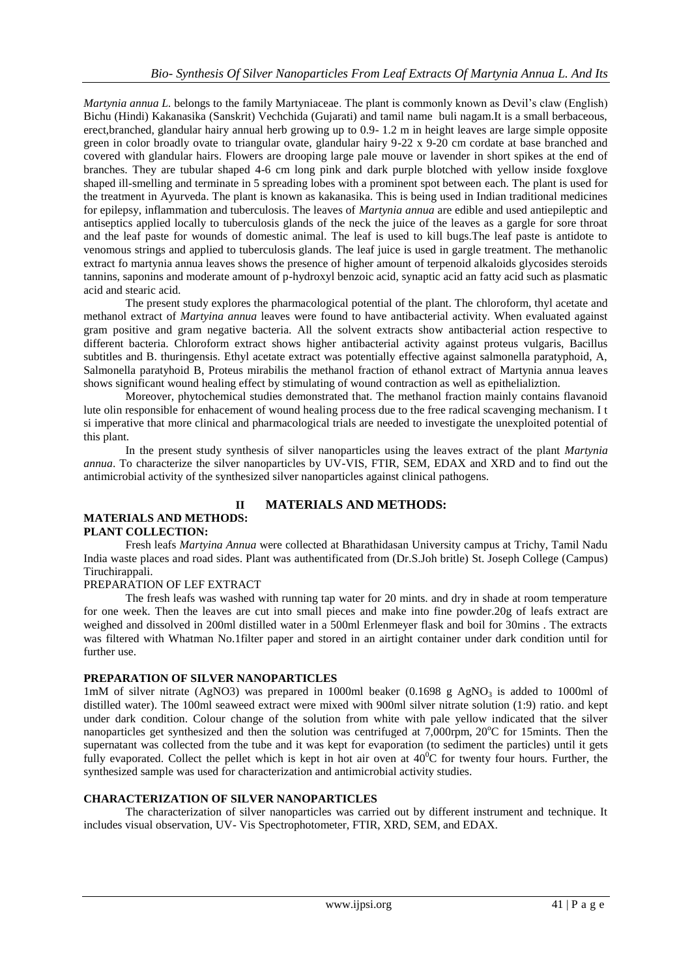*Martynia annua L.* belongs to the family Martyniaceae. The plant is commonly known as Devil's claw (English) Bichu (Hindi) Kakanasika (Sanskrit) Vechchida (Gujarati) and tamil name buli nagam.It is a small berbaceous, erect,branched, glandular hairy annual herb growing up to 0.9- 1.2 m in height leaves are large simple opposite green in color broadly ovate to triangular ovate, glandular hairy 9-22 x 9-20 cm cordate at base branched and covered with glandular hairs. Flowers are drooping large pale mouve or lavender in short spikes at the end of branches. They are tubular shaped 4-6 cm long pink and dark purple blotched with yellow inside foxglove shaped ill-smelling and terminate in 5 spreading lobes with a prominent spot between each. The plant is used for the treatment in Ayurveda. The plant is known as kakanasika. This is being used in Indian traditional medicines for epilepsy, inflammation and tuberculosis. The leaves of *Martynia annua* are edible and used antiepileptic and antiseptics applied locally to tuberculosis glands of the neck the juice of the leaves as a gargle for sore throat and the leaf paste for wounds of domestic animal. The leaf is used to kill bugs.The leaf paste is antidote to venomous strings and applied to tuberculosis glands. The leaf juice is used in gargle treatment. The methanolic extract fo martynia annua leaves shows the presence of higher amount of terpenoid alkaloids glycosides steroids tannins, saponins and moderate amount of p-hydroxyl benzoic acid, synaptic acid an fatty acid such as plasmatic acid and stearic acid.

The present study explores the pharmacological potential of the plant. The chloroform, thyl acetate and methanol extract of *Martyina annua* leaves were found to have antibacterial activity. When evaluated against gram positive and gram negative bacteria. All the solvent extracts show antibacterial action respective to different bacteria. Chloroform extract shows higher antibacterial activity against proteus vulgaris, Bacillus subtitles and B. thuringensis. Ethyl acetate extract was potentially effective against salmonella paratyphoid, A, Salmonella paratyhoid B, Proteus mirabilis the methanol fraction of ethanol extract of Martynia annua leaves shows significant wound healing effect by stimulating of wound contraction as well as epithelializtion.

Moreover, phytochemical studies demonstrated that. The methanol fraction mainly contains flavanoid lute olin responsible for enhacement of wound healing process due to the free radical scavenging mechanism. I t si imperative that more clinical and pharmacological trials are needed to investigate the unexploited potential of this plant.

In the present study synthesis of silver nanoparticles using the leaves extract of the plant *Martynia annua*. To characterize the silver nanoparticles by UV-VIS, FTIR, SEM, EDAX and XRD and to find out the antimicrobial activity of the synthesized silver nanoparticles against clinical pathogens.

#### **MATERIALS AND METHODS: PLANT COLLECTION:**

## **II MATERIALS AND METHODS:**

Fresh leafs *Martyina Annua* were collected at Bharathidasan University campus at Trichy, Tamil Nadu India waste places and road sides. Plant was authentificated from (Dr.S.Joh britle) St. Joseph College (Campus) Tiruchirappali.

## PREPARATION OF LEF EXTRACT

The fresh leafs was washed with running tap water for 20 mints. and dry in shade at room temperature for one week. Then the leaves are cut into small pieces and make into fine powder.20g of leafs extract are weighed and dissolved in 200ml distilled water in a 500ml Erlenmeyer flask and boil for 30mins . The extracts was filtered with Whatman No.1filter paper and stored in an airtight container under dark condition until for further use.

## **PREPARATION OF SILVER NANOPARTICLES**

1mM of silver nitrate (AgNO3) was prepared in 1000ml beaker (0.1698 g AgNO<sub>3</sub> is added to 1000ml of distilled water). The 100ml seaweed extract were mixed with 900ml silver nitrate solution (1:9) ratio. and kept under dark condition. Colour change of the solution from white with pale yellow indicated that the silver nanoparticles get synthesized and then the solution was centrifuged at  $7,000$ rpm,  $20^{\circ}$ C for 15mints. Then the supernatant was collected from the tube and it was kept for evaporation (to sediment the particles) until it gets fully evaporated. Collect the pellet which is kept in hot air oven at  $40^{\circ}$ C for twenty four hours. Further, the synthesized sample was used for characterization and antimicrobial activity studies.

## **CHARACTERIZATION OF SILVER NANOPARTICLES**

The characterization of silver nanoparticles was carried out by different instrument and technique. It includes visual observation, UV- Vis Spectrophotometer, FTIR, XRD, SEM, and EDAX.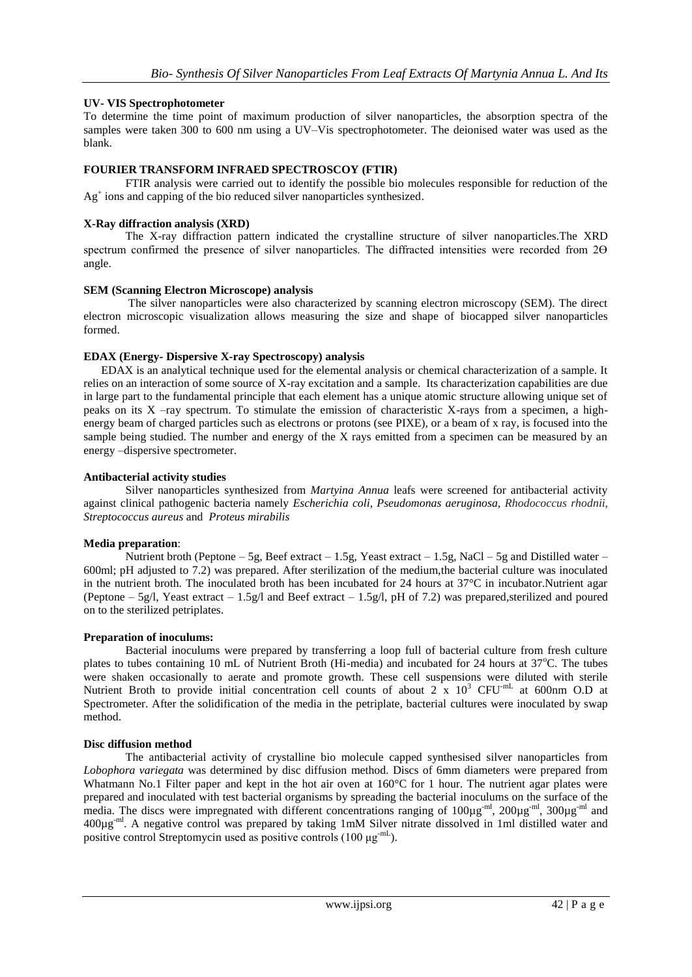## **UV- VIS Spectrophotometer**

To determine the time point of maximum production of silver nanoparticles, the absorption spectra of the samples were taken 300 to 600 nm using a UV–Vis spectrophotometer. The deionised water was used as the blank.

#### **FOURIER TRANSFORM INFRAED SPECTROSCOY (FTIR)**

FTIR analysis were carried out to identify the possible bio molecules responsible for reduction of the Ag<sup>+</sup> ions and capping of the bio reduced silver nanoparticles synthesized.

#### **X-Ray diffraction analysis (XRD)**

The X-ray diffraction pattern indicated the crystalline structure of silver nanoparticles.The XRD spectrum confirmed the presence of silver nanoparticles. The diffracted intensities were recorded from  $2\Theta$ angle.

#### **SEM (Scanning Electron Microscope) analysis**

The silver nanoparticles were also characterized by scanning electron microscopy (SEM). The direct electron microscopic visualization allows measuring the size and shape of biocapped silver nanoparticles formed.

#### **EDAX (Energy- Dispersive X-ray Spectroscopy) analysis**

 EDAX is an analytical technique used for the elemental analysis or chemical characterization of a sample. It relies on an interaction of some source of X-ray excitation and a sample. Its characterization capabilities are due in large part to the fundamental principle that each element has a unique atomic structure allowing unique set of peaks on its X –ray spectrum. To stimulate the emission of characteristic X-rays from a specimen, a highenergy beam of charged particles such as electrons or protons (see PIXE), or a beam of x ray, is focused into the sample being studied. The number and energy of the X rays emitted from a specimen can be measured by an energy –dispersive spectrometer.

#### **Antibacterial activity studies**

Silver nanoparticles synthesized from *Martyina Annua* leafs were screened for antibacterial activity against clinical pathogenic bacteria namely *Escherichia coli, Pseudomonas aeruginosa, Rhodococcus rhodnii, Streptococcus aureus* and *Proteus mirabilis*

#### **Media preparation**:

Nutrient broth (Peptone – 5g, Beef extract – 1.5g, Yeast extract – 1.5g, NaCl – 5g and Distilled water – 600ml; pH adjusted to 7.2) was prepared. After sterilization of the medium,the bacterial culture was inoculated in the nutrient broth. The inoculated broth has been incubated for 24 hours at 37°C in incubator.Nutrient agar (Peptone – 5g/l, Yeast extract – 1.5g/l and Beef extract – 1.5g/l, pH of 7.2) was prepared, sterilized and poured on to the sterilized petriplates.

#### **Preparation of inoculums:**

Bacterial inoculums were prepared by transferring a loop full of bacterial culture from fresh culture plates to tubes containing 10 mL of Nutrient Broth (Hi-media) and incubated for 24 hours at  $37^{\circ}$ C. The tubes were shaken occasionally to aerate and promote growth. These cell suspensions were diluted with sterile Nutrient Broth to provide initial concentration cell counts of about 2 x 10<sup>3</sup> CFU<sup>-mL</sup> at 600nm O.D at Spectrometer. After the solidification of the media in the petriplate, bacterial cultures were inoculated by swap method.

#### **Disc diffusion method**

The antibacterial activity of crystalline bio molecule capped synthesised silver nanoparticles from *Lobophora variegata* was determined by disc diffusion method. Discs of 6mm diameters were prepared from Whatmann No.1 Filter paper and kept in the hot air oven at 160°C for 1 hour. The nutrient agar plates were prepared and inoculated with test bacterial organisms by spreading the bacterial inoculums on the surface of the media. The discs were impregnated with different concentrations ranging of 100µg<sup>-ml</sup>, 200µg<sup>-ml</sup>, 300µg<sup>-ml</sup> and 400µg-ml. A negative control was prepared by taking 1mM Silver nitrate dissolved in 1ml distilled water and positive control Streptomycin used as positive controls  $(100 \mu g^{-mL})$ .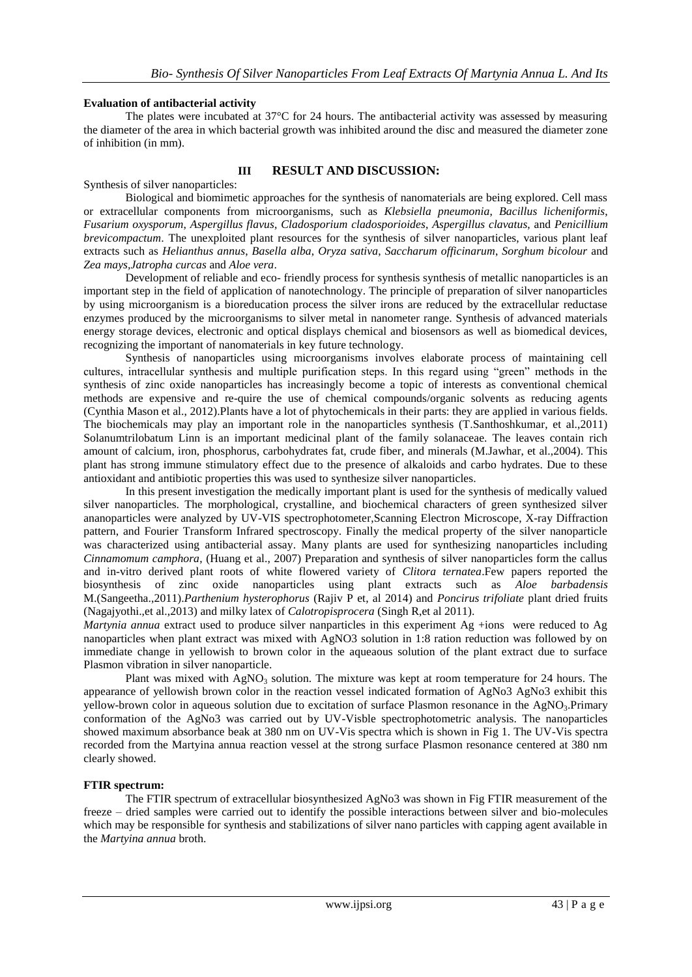#### **Evaluation of antibacterial activity**

The plates were incubated at 37°C for 24 hours. The antibacterial activity was assessed by measuring the diameter of the area in which bacterial growth was inhibited around the disc and measured the diameter zone of inhibition (in mm).

#### **III RESULT AND DISCUSSION:**

Synthesis of silver nanoparticles:

Biological and biomimetic approaches for the synthesis of nanomaterials are being explored. Cell mass or extracellular components from microorganisms, such as *Klebsiella pneumonia*, *Bacillus licheniformis*, *Fusarium oxysporum*, *Aspergillus flavus*, *Cladosporium cladosporioides*, *Aspergillus clavatus*, and *Penicillium brevicompactum*. The unexploited plant resources for the synthesis of silver nanoparticles, various plant leaf extracts such as *Helianthus annus*, *Basella alba*, *Oryza sativa*, *Saccharum officinarum*, *Sorghum bicolour* and *Zea mays,Jatropha curcas* and *Aloe vera*.

Development of reliable and eco- friendly process for synthesis synthesis of metallic nanoparticles is an important step in the field of application of nanotechnology. The principle of preparation of silver nanoparticles by using microorganism is a bioreducation process the silver irons are reduced by the extracellular reductase enzymes produced by the microorganisms to silver metal in nanometer range. Synthesis of advanced materials energy storage devices, electronic and optical displays chemical and biosensors as well as biomedical devices, recognizing the important of nanomaterials in key future technology.

Synthesis of nanoparticles using microorganisms involves elaborate process of maintaining cell cultures, intracellular synthesis and multiple purification steps. In this regard using "green" methods in the synthesis of zinc oxide nanoparticles has increasingly become a topic of interests as conventional chemical methods are expensive and re-quire the use of chemical compounds/organic solvents as reducing agents (Cynthia Mason et al., 2012).Plants have a lot of phytochemicals in their parts: they are applied in various fields. The biochemicals may play an important role in the nanoparticles synthesis (T.Santhoshkumar, et al.,2011) Solanumtrilobatum Linn is an important medicinal plant of the family solanaceae. The leaves contain rich amount of calcium, iron, phosphorus, carbohydrates fat, crude fiber, and minerals (M.Jawhar, et al.,2004). This plant has strong immune stimulatory effect due to the presence of alkaloids and carbo hydrates. Due to these antioxidant and antibiotic properties this was used to synthesize silver nanoparticles.

In this present investigation the medically important plant is used for the synthesis of medically valued silver nanoparticles. The morphological, crystalline, and biochemical characters of green synthesized silver ananoparticles were analyzed by UV-VIS spectrophotometer,Scanning Electron Microscope, X-ray Diffraction pattern, and Fourier Transform Infrared spectroscopy. Finally the medical property of the silver nanoparticle was characterized using antibacterial assay. Many plants are used for synthesizing nanoparticles including *Cinnamomum camphora*, (Huang et al., 2007) Preparation and synthesis of silver nanoparticles form the callus and in-vitro derived plant roots of white flowered variety of *Clitora ternatea*.Few papers reported the biosynthesis of zinc oxide nanoparticles using plant extracts such as *Aloe barbadensis* M.(Sangeetha.,2011).*Parthenium hysterophorus* (Rajiv P et, al 2014) and *Poncirus trifoliate* plant dried fruits (Nagajyothi.,et al.,2013) and milky latex of *Calotropisprocera* (Singh R,et al 2011).

*Martynia annua* extract used to produce silver nanparticles in this experiment Ag +ions were reduced to Ag nanoparticles when plant extract was mixed with AgNO3 solution in 1:8 ration reduction was followed by on immediate change in yellowish to brown color in the aqueaous solution of the plant extract due to surface Plasmon vibration in silver nanoparticle.

Plant was mixed with AgNO<sub>3</sub> solution. The mixture was kept at room temperature for 24 hours. The appearance of yellowish brown color in the reaction vessel indicated formation of AgNo3 AgNo3 exhibit this yellow-brown color in aqueous solution due to excitation of surface Plasmon resonance in the AgNO<sub>3</sub>.Primary conformation of the AgNo3 was carried out by UV-Visble spectrophotometric analysis. The nanoparticles showed maximum absorbance beak at 380 nm on UV-Vis spectra which is shown in Fig 1. The UV-Vis spectra recorded from the Martyina annua reaction vessel at the strong surface Plasmon resonance centered at 380 nm clearly showed.

#### **FTIR spectrum:**

The FTIR spectrum of extracellular biosynthesized AgNo3 was shown in Fig FTIR measurement of the freeze – dried samples were carried out to identify the possible interactions between silver and bio-molecules which may be responsible for synthesis and stabilizations of silver nano particles with capping agent available in the *Martyina annua* broth.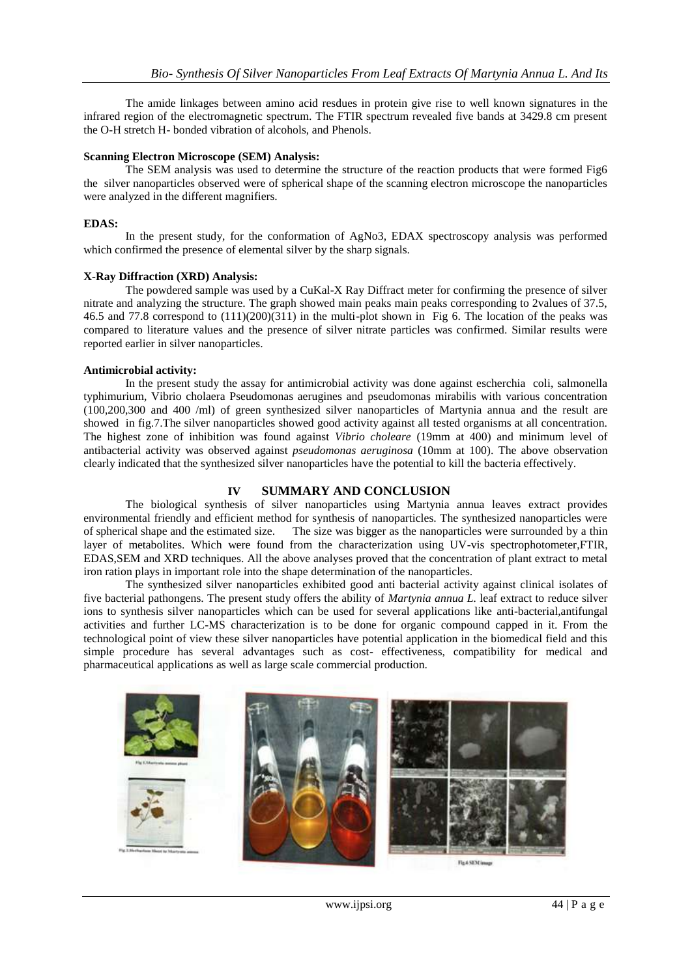The amide linkages between amino acid resdues in protein give rise to well known signatures in the infrared region of the electromagnetic spectrum. The FTIR spectrum revealed five bands at 3429.8 cm present the O-H stretch H- bonded vibration of alcohols, and Phenols.

#### **Scanning Electron Microscope (SEM) Analysis:**

The SEM analysis was used to determine the structure of the reaction products that were formed Fig6 the silver nanoparticles observed were of spherical shape of the scanning electron microscope the nanoparticles were analyzed in the different magnifiers.

#### **EDAS:**

In the present study, for the conformation of AgNo3, EDAX spectroscopy analysis was performed which confirmed the presence of elemental silver by the sharp signals.

#### **X-Ray Diffraction (XRD) Analysis:**

The powdered sample was used by a CuKal-X Ray Diffract meter for confirming the presence of silver nitrate and analyzing the structure. The graph showed main peaks main peaks corresponding to 2values of 37.5, 46.5 and 77.8 correspond to (111)(200)(311) in the multi-plot shown in Fig 6. The location of the peaks was compared to literature values and the presence of silver nitrate particles was confirmed. Similar results were reported earlier in silver nanoparticles.

#### **Antimicrobial activity:**

In the present study the assay for antimicrobial activity was done against escherchia coli, salmonella typhimurium, Vibrio cholaera Pseudomonas aerugines and pseudomonas mirabilis with various concentration (100,200,300 and 400 /ml) of green synthesized silver nanoparticles of Martynia annua and the result are showed in fig.7.The silver nanoparticles showed good activity against all tested organisms at all concentration. The highest zone of inhibition was found against *Vibrio choleare* (19mm at 400) and minimum level of antibacterial activity was observed against *pseudomonas aeruginosa* (10mm at 100). The above observation clearly indicated that the synthesized silver nanoparticles have the potential to kill the bacteria effectively.

#### **IV SUMMARY AND CONCLUSION**

The biological synthesis of silver nanoparticles using Martynia annua leaves extract provides environmental friendly and efficient method for synthesis of nanoparticles. The synthesized nanoparticles were of spherical shape and the estimated size. The size was bigger as the nanoparticles were surrounded by a thin layer of metabolites. Which were found from the characterization using UV-vis spectrophotometer,FTIR, EDAS,SEM and XRD techniques. All the above analyses proved that the concentration of plant extract to metal iron ration plays in important role into the shape determination of the nanoparticles.

The synthesized silver nanoparticles exhibited good anti bacterial activity against clinical isolates of five bacterial pathongens. The present study offers the ability of *Martynia annua L.* leaf extract to reduce silver ions to synthesis silver nanoparticles which can be used for several applications like anti-bacterial,antifungal activities and further LC-MS characterization is to be done for organic compound capped in it. From the technological point of view these silver nanoparticles have potential application in the biomedical field and this simple procedure has several advantages such as cost- effectiveness, compatibility for medical and pharmaceutical applications as well as large scale commercial production.

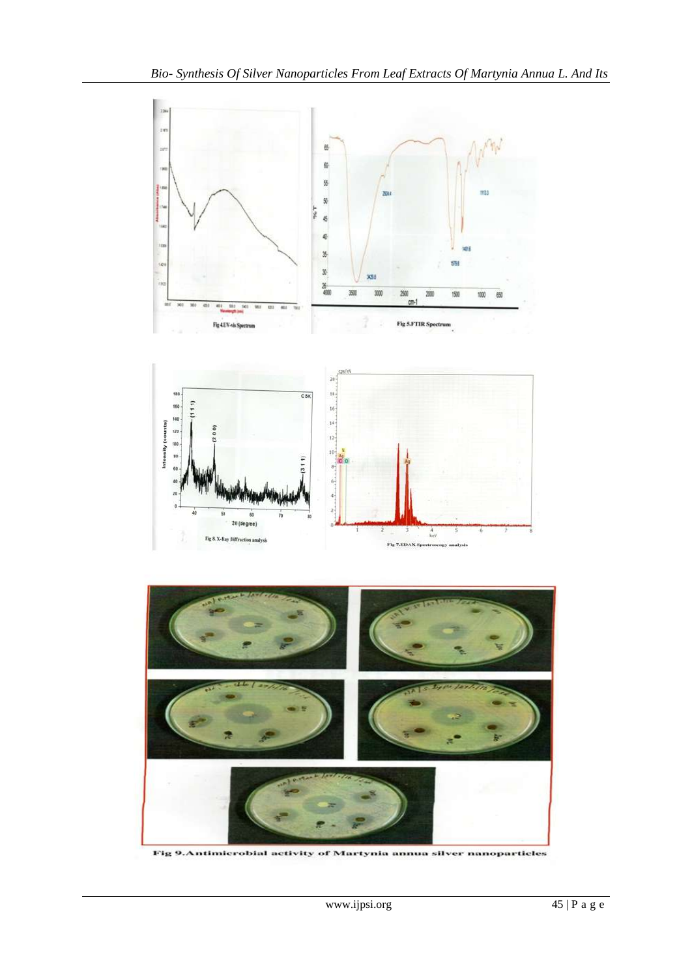

Fig 9.Antimicrobial activity of Martynia annua silver nanoparticles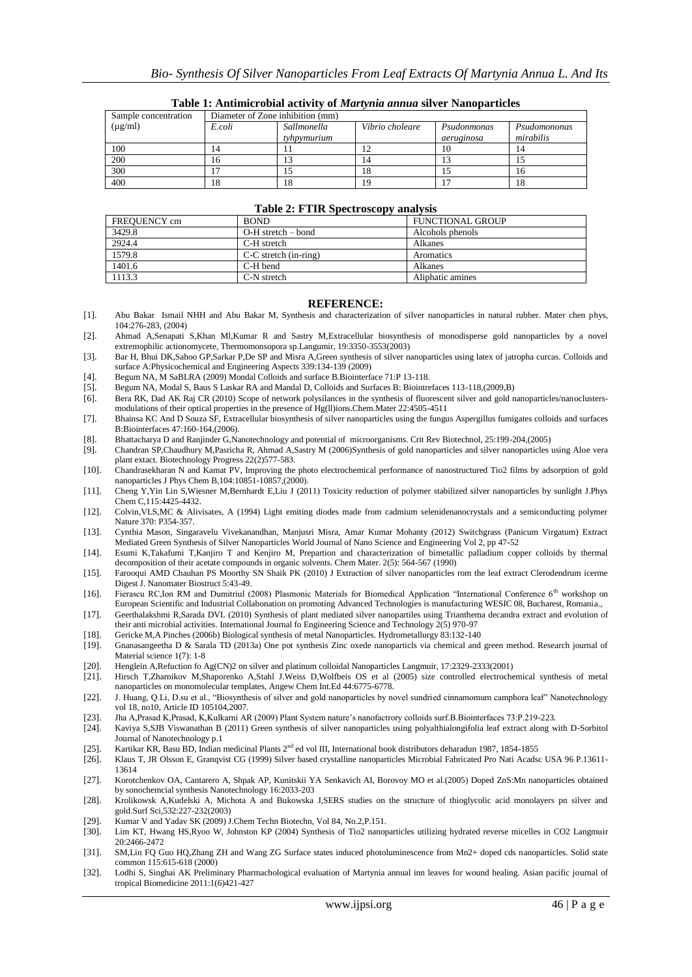| Sample concentration | Diameter of Zone inhibition (mm) |             |                 |             |              |
|----------------------|----------------------------------|-------------|-----------------|-------------|--------------|
| $(\mu g/ml)$         | E.coli                           | Sallmonella | Vibrio choleare | Psudonmonas | Psudomononas |
|                      |                                  | tyhpymurium |                 | aeruginosa  | mirabilis    |
| 100                  |                                  |             |                 | 10          | 14           |
| 200                  | 16                               | 13          | 14              |             |              |
| 300                  |                                  | IJ          | 18              |             | 16           |
| 400                  | 18                               | 18          | 19              |             | 18           |

#### **Table 1: Antimicrobial activity of** *Martynia annua* **silver Nanoparticles**

| <b>Table 2: F TIR Spectroscopy analysis</b> |                           |                         |  |  |  |
|---------------------------------------------|---------------------------|-------------------------|--|--|--|
| FREOUENCY cm                                | <b>BOND</b>               | <b>FUNCTIONAL GROUP</b> |  |  |  |
| 3429.8                                      | $O-H$ stretch – bond      | Alcohols phenols        |  |  |  |
| 2924.4                                      | C-H stretch               | Alkanes                 |  |  |  |
| 1579.8                                      | $C-C$ stretch $(in-ring)$ | Aromatics               |  |  |  |
| 1401.6                                      | C-H bend                  | Alkanes                 |  |  |  |
| 1113.3                                      | C-N stretch               | Aliphatic amines        |  |  |  |

#### **Table 2: FTIR Spectroscopy and Lat**

#### **REFERENCE:**

[1]. Abu Bakar Ismail NHH and Abu Bakar M, Synthesis and characterization of silver nanoparticles in natural rubber. Mater chen phys, 104:276-283, (2004)

[2]. Ahmad A,Senapati S,Khan Ml,Kumar R and Sastry M,Extracellular biosynthesis of monodisperse gold nanoparticles by a novel extremophilic actionomycete, Thermomonsopora sp.Langumir, 19:3350-3553(2003)

- [3]. Bar H, Bhui DK,Sahoo GP,Sarkar P,De SP and Misra A,Green synthesis of silver nanoparticles using latex of jatropha curcas. Colloids and surface A:Physicochemical and Engineering Aspects 339:134-139 (2009)
- [4]. Begum NA, M SaBLRA (2009) Mondal Colloids and surface B.Biointerface 71:P 13-118.
- [5]. Begum NA, Modal S, Baus S Laskar RA and Mandal D, Colloids and Surfaces B: Biointrefaces 113-118,(2009,B)
- [6]. Bera RK, Dad AK Raj CR (2010) Scope of network polysilances in the synthesis of fluorescent silver and gold nanoparticles/nanoclustersmodulations of their optical properties in the presence of Hg(ll)ions.Chem.Mater 22:4505-4511
- [7]. Bhainsa KC And D Souza SF, Extracellular biosynthesis of silver nanoparticles using the fungus Aspergillus fumigates colloids and surfaces B:Biointerfaces 47:160-164,(2006).
- [8]. Bhattacharya D and Ranjinder G,Nanotechnology and potential of microorganisms. Crit Rev Biotechnol, 25:199-204,(2005)
- [9]. Chandran SP,Chaudhury M,Pasricha R, Ahmad A,Sastry M (2006)Synthesis of gold nanoparticles and silver nanoparticles using Aloe vera plant extact. Biotechnology Progress 22(2)577-583.
- [10]. Chandrasekharan N and Kamat PV, Improving the photo electrochemical performance of nanostructured Tio2 films by adsorption of gold nanoparticles J Phys Chem B,104:10851-10857,(2000).
- [11]. Cheng Y,Yin Lin S,Wiesner M,Bernhardt E,Liu J (2011) Toxicity reduction of polymer stabilized silver nanoparticles by sunlight J.Phys Chem C,115:4425-4432.
- [12]. Colvin,VLS,MC & Alivisates, A (1994) Light emiting diodes made from cadmium selenidenanocrystals and a semiconducting polymer Nature 370: P354-357.
- [13]. Cynthia Mason, Singaravelu Vivekanandhan, Manjusri Misra, Amar Kumar Mohanty (2012) Switchgrass (Panicum Virgatum) Extract Mediated Green Synthesis of Silver Nanoparticles World Journal of Nano Science and Engineering Vol 2, pp 47-52
- [14]. Esumi K,Takafumi T,Kanjiro T and Kenjiro M, Prepartion and characterization of bimetallic palladium copper colloids by thermal decomposition of their acetate compounds in organic solvents. Chem Mater. 2(5): 564-567 (1990)
- [15]. Farooqui AMD Chauhan PS Moorthy SN Shaik PK (2010) J Extraction of silver nanoparticles rom the leaf extract Clerodendrum icerme Digest J. Nanomater Biostruct 5:43-49.
- [16]. Fierascu RC,Ion RM and Dumitriul (2008) Plasmonic Materials for Biomedical Application "International Conference 6<sup>th</sup> workshop on European Scientific and Industrial Collabonation on promoting Advanced Technologies is manufacturing WESIC 08, Bucharest, Romania.,
- [17]. Geerthalakshmi R,Sarada DVL (2010) Synthesis of plant mediated silver nanopartiles using Trianthema decandra extract and evolution of their anti microbial activities. International Journal fo Engineering Science and Technology 2(5) 970-97
- [18]. Gericke M,A Pinches (2006b) Biological synthesis of metal Nanoparticles. Hydrometallurgy 83:132-140
- [19]. Gnanasangeetha D & Sarala TD (2013a) One pot synthesis Zinc oxede nanoparticls via chemical and green method. Research journal of Material science 1(7): 1-8
- [20]. Henglein A,Refuction fo Ag(CN)2 on silver and platinum colloidal Nanoparticles Langmuir, 17:2329-2333(2001) [21]. Hirsch T,Zharnikov M,Shaporenko A,Stahl J.Weiss D,Wolfbeis OS et al (2005) size controlled electroche
- Hirsch T,Zharnikov M,Shaporenko A,Stahl J.Weiss D,Wolfbeis OS et al (2005) size controlled electrochemical synthesis of metal nanoparticles on monomolecular templates, Angew Chem Int.Ed 44:6775-6778.
- [22]. J. Huang, Q.Li, D.su et al., "Biosynthesis of silver and gold nanoparticles by novel sundried cinnamomum camphora leaf" Nanotechnology vol 18, no10, Article ID 105104,2007.
- [23]. Jha A,Prasad K,Prasad, K,Kulkarni AR (2009) Plant System nature's nanofactrory colloids surf.B.Biointerfaces 73:P.219-223.
- [24]. Kaviya S,SJB Viswanathan B (2011) Green synthesis of silver nanoparticles using polyalthialongifolia leaf extract along with D-Sorbitol Journal of Nanotechnology p.1
- [25]. Kartikar KR, Basu BD, Indian medicinal Plants 2<sup>nd</sup> ed vol III, International book distributors deharadun 1987, 1854-1855
- [26]. Klaus T, JR Olsson E, Granqvist CG (1999) Silver based crystalline nanoparticles Microbial Fabricated Pro Nati Acadsc USA 96 P.13611- 13614
- [27]. Korotchenkov OA, Cantarero A, Shpak AP, Kunitskii YA Senkavich AI, Borovoy MO et al.(2005) Doped ZnS:Mn nanoparticles obtained by sonochemcial synthesis Nanotechnology 16:2033-203
- [28]. Krolikowsk A,Kudelski A, Michota A and Bukowska J,SERS studies on the structure of thioglycolic acid monolayers pn silver and gold.Surf Sci,532:227-232(2003)
- [29]. Kumar V and Yadav SK (2009) J.Chem Techn Biotechn, Vol 84, No.2,P.151.
- [30]. Lim KT, Hwang HS,Ryoo W, Johnston KP (2004) Synthesis of Tio2 nanoparticles utilizing hydrated reverse micelles in CO2 Langmuir 20:2466-2472
- [31]. SM,Lin FQ Guo HQ,Zhang ZH and Wang ZG Surface states induced photoluminescence from Mn2+ doped cds nanoparticles. Solid state common 115:615-618 (2000)
- [32]. Lodhi S, Singhai AK Preliminary Pharmachological evaluation of Martynia annual inn leaves for wound healing. Asian pacific journal of tropical Biomedicine 2011:1(6)421-427